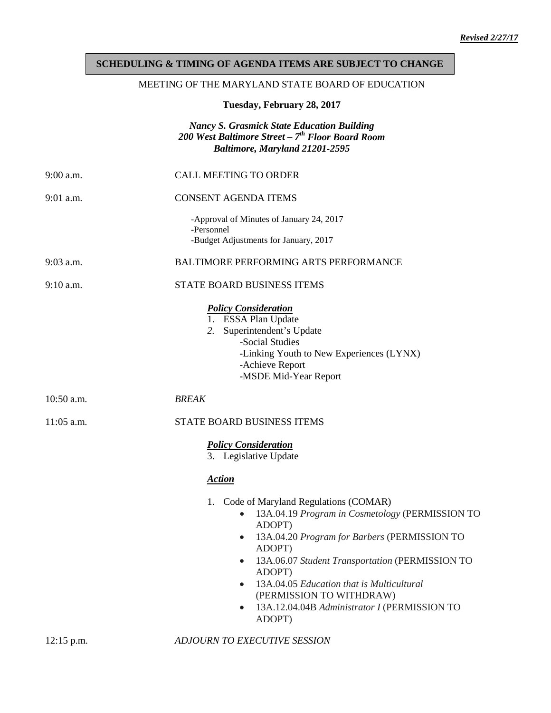## **SCHEDULING & TIMING OF AGENDA ITEMS ARE SUBJECT TO CHANGE**

## MEETING OF THE MARYLAND STATE BOARD OF EDUCATION

**Tuesday, February 28, 2017**

## *Nancy S. Grasmick State Education Building 200 West Baltimore Street – 7th Floor Board Room Baltimore, Maryland 21201-2595*

| $9:00$ a.m.  | <b>CALL MEETING TO ORDER</b>                                                                                                                                                                                                                                                                                                                                                                |
|--------------|---------------------------------------------------------------------------------------------------------------------------------------------------------------------------------------------------------------------------------------------------------------------------------------------------------------------------------------------------------------------------------------------|
| $9:01$ a.m.  | <b>CONSENT AGENDA ITEMS</b>                                                                                                                                                                                                                                                                                                                                                                 |
|              | -Approval of Minutes of January 24, 2017<br>-Personnel<br>-Budget Adjustments for January, 2017                                                                                                                                                                                                                                                                                             |
| $9:03$ a.m.  | <b>BALTIMORE PERFORMING ARTS PERFORMANCE</b>                                                                                                                                                                                                                                                                                                                                                |
| $9:10$ a.m.  | STATE BOARD BUSINESS ITEMS                                                                                                                                                                                                                                                                                                                                                                  |
|              | <b>Policy Consideration</b><br>1. ESSA Plan Update<br>Superintendent's Update<br>2.<br>-Social Studies<br>-Linking Youth to New Experiences (LYNX)<br>-Achieve Report<br>-MSDE Mid-Year Report                                                                                                                                                                                              |
| $10:50$ a.m. | <b>BREAK</b>                                                                                                                                                                                                                                                                                                                                                                                |
| $11:05$ a.m. | STATE BOARD BUSINESS ITEMS                                                                                                                                                                                                                                                                                                                                                                  |
|              | <b>Policy Consideration</b><br>3. Legislative Update<br><b>Action</b>                                                                                                                                                                                                                                                                                                                       |
|              | Code of Maryland Regulations (COMAR)<br>1.<br>13A.04.19 Program in Cosmetology (PERMISSION TO<br>ADOPT)<br>13A.04.20 Program for Barbers (PERMISSION TO<br>ADOPT)<br>13A.06.07 Student Transportation (PERMISSION TO<br>$\bullet$<br>ADOPT)<br>13A.04.05 Education that is Multicultural<br>$\bullet$<br>(PERMISSION TO WITHDRAW)<br>13A.12.04.04B Administrator I (PERMISSION TO<br>ADOPT) |

12:15 p.m. *ADJOURN TO EXECUTIVE SESSION*